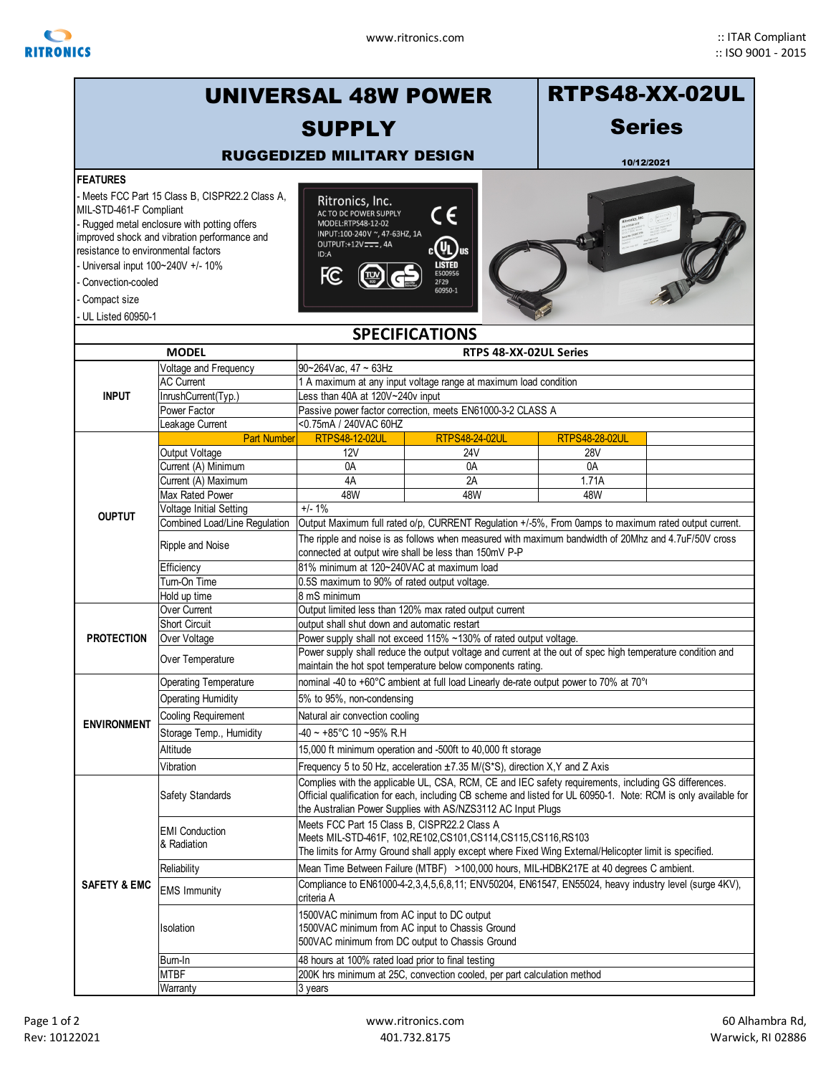

|                                                                                                                                                                     | <b>UNIVERSAL 48W POWER</b>                                                                                                                    | <b>RTPS48-XX-02UL</b>                                                                                                                                                                                                                                                                   |                                                            |                       |  |  |  |  |  |
|---------------------------------------------------------------------------------------------------------------------------------------------------------------------|-----------------------------------------------------------------------------------------------------------------------------------------------|-----------------------------------------------------------------------------------------------------------------------------------------------------------------------------------------------------------------------------------------------------------------------------------------|------------------------------------------------------------|-----------------------|--|--|--|--|--|
|                                                                                                                                                                     |                                                                                                                                               | <b>SUPPLY</b>                                                                                                                                                                                                                                                                           |                                                            | <b>Series</b>         |  |  |  |  |  |
|                                                                                                                                                                     |                                                                                                                                               | <b>RUGGEDIZED MILITARY DESIGN</b>                                                                                                                                                                                                                                                       |                                                            |                       |  |  |  |  |  |
| <b>FEATURES</b>                                                                                                                                                     |                                                                                                                                               |                                                                                                                                                                                                                                                                                         |                                                            | 10/12/2021            |  |  |  |  |  |
| MIL-STD-461-F Compliant<br>resistance to environmental factors<br>Universal input 100~240V +/- 10%<br>Convection-cooled<br>Compact size<br><b>UL Listed 60950-1</b> | Meets FCC Part 15 Class B, CISPR22.2 Class A,<br>- Rugged metal enclosure with potting offers<br>improved shock and vibration performance and | Ritronics, Inc.<br>CE<br>AC TO DC POWER SUPPLY<br>MODEL:RTPS48-12-02<br>INPUT:100-240V ~, 47-63HZ, 1A<br>$_{c}$ (U <sub>L</sub> ) <sub>us</sub><br>OUTPUT:+12V === , 4A<br>ID:A<br><b>LISTED</b><br>Ю<br>E500956<br>2F29<br>60950-1                                                     |                                                            |                       |  |  |  |  |  |
|                                                                                                                                                                     |                                                                                                                                               |                                                                                                                                                                                                                                                                                         | <b>SPECIFICATIONS</b>                                      |                       |  |  |  |  |  |
|                                                                                                                                                                     | <b>MODEL</b>                                                                                                                                  |                                                                                                                                                                                                                                                                                         | RTPS 48-XX-02UL Series                                     |                       |  |  |  |  |  |
|                                                                                                                                                                     | Voltage and Frequency                                                                                                                         | 90~264Vac, 47 ~ 63Hz                                                                                                                                                                                                                                                                    |                                                            |                       |  |  |  |  |  |
| <b>INPUT</b>                                                                                                                                                        | <b>AC Current</b><br>InrushCurrent(Typ.)                                                                                                      | 1 A maximum at any input voltage range at maximum load condition<br>Less than 40A at 120V~240v input                                                                                                                                                                                    |                                                            |                       |  |  |  |  |  |
|                                                                                                                                                                     | Power Factor                                                                                                                                  |                                                                                                                                                                                                                                                                                         | Passive power factor correction, meets EN61000-3-2 CLASS A |                       |  |  |  |  |  |
|                                                                                                                                                                     | Leakage Current<br><b>Part Number</b>                                                                                                         | <0.75mA / 240VAC 60HZ<br><b>RTPS48-12-02UL</b>                                                                                                                                                                                                                                          | <b>RTPS48-24-02UL</b>                                      | <b>RTPS48-28-02UL</b> |  |  |  |  |  |
|                                                                                                                                                                     | Output Voltage                                                                                                                                | 12V                                                                                                                                                                                                                                                                                     | 24V                                                        | <b>28V</b>            |  |  |  |  |  |
|                                                                                                                                                                     | Current (A) Minimum                                                                                                                           | 0A                                                                                                                                                                                                                                                                                      | 0A                                                         | 0A                    |  |  |  |  |  |
|                                                                                                                                                                     | Current (A) Maximum                                                                                                                           | 4A                                                                                                                                                                                                                                                                                      | 2A                                                         | 1.71A                 |  |  |  |  |  |
|                                                                                                                                                                     | Max Rated Power                                                                                                                               | 48W                                                                                                                                                                                                                                                                                     | 48W                                                        | 48W                   |  |  |  |  |  |
|                                                                                                                                                                     | $+/- 1\%$<br>Voltage Initial Setting                                                                                                          |                                                                                                                                                                                                                                                                                         |                                                            |                       |  |  |  |  |  |
| <b>OUPTUT</b>                                                                                                                                                       | Combined Load/Line Regulation<br>Output Maximum full rated o/p, CURRENT Regulation +/-5%, From 0amps to maximum rated output current.         |                                                                                                                                                                                                                                                                                         |                                                            |                       |  |  |  |  |  |
|                                                                                                                                                                     | Ripple and Noise                                                                                                                              | The ripple and noise is as follows when measured with maximum bandwidth of 20Mhz and 4.7uF/50V cross<br>connected at output wire shall be less than 150mV P-P                                                                                                                           |                                                            |                       |  |  |  |  |  |
|                                                                                                                                                                     | Efficiency                                                                                                                                    | 81% minimum at 120~240VAC at maximum load                                                                                                                                                                                                                                               |                                                            |                       |  |  |  |  |  |
|                                                                                                                                                                     | Turn-On Time                                                                                                                                  | 0.5S maximum to 90% of rated output voltage.                                                                                                                                                                                                                                            |                                                            |                       |  |  |  |  |  |
|                                                                                                                                                                     | Hold up time                                                                                                                                  | 8 mS minimum                                                                                                                                                                                                                                                                            |                                                            |                       |  |  |  |  |  |
|                                                                                                                                                                     | Over Current                                                                                                                                  | Output limited less than 120% max rated output current                                                                                                                                                                                                                                  |                                                            |                       |  |  |  |  |  |
|                                                                                                                                                                     | Short Circuit                                                                                                                                 | output shall shut down and automatic restart                                                                                                                                                                                                                                            |                                                            |                       |  |  |  |  |  |
| <b>PROTECTION</b>                                                                                                                                                   | Over Voltage                                                                                                                                  | Power supply shall not exceed 115% ~130% of rated output voltage.                                                                                                                                                                                                                       |                                                            |                       |  |  |  |  |  |
|                                                                                                                                                                     | Over Temperature                                                                                                                              | Power supply shall reduce the output voltage and current at the out of spec high temperature condition and<br>maintain the hot spot temperature below components rating.                                                                                                                |                                                            |                       |  |  |  |  |  |
| <b>ENVIRONMENT</b>                                                                                                                                                  | Operating Temperature                                                                                                                         | nominal -40 to +60°C ambient at full load Linearly de-rate output power to 70% at 70°                                                                                                                                                                                                   |                                                            |                       |  |  |  |  |  |
|                                                                                                                                                                     | <b>Operating Humidity</b>                                                                                                                     | 5% to 95%, non-condensing                                                                                                                                                                                                                                                               |                                                            |                       |  |  |  |  |  |
|                                                                                                                                                                     | <b>Cooling Requirement</b><br>Natural air convection cooling                                                                                  |                                                                                                                                                                                                                                                                                         |                                                            |                       |  |  |  |  |  |
|                                                                                                                                                                     | Storage Temp., Humidity                                                                                                                       | -40 ~ +85°C 10 ~95% R.H                                                                                                                                                                                                                                                                 |                                                            |                       |  |  |  |  |  |
|                                                                                                                                                                     | Altitude                                                                                                                                      | 15,000 ft minimum operation and -500ft to 40,000 ft storage                                                                                                                                                                                                                             |                                                            |                       |  |  |  |  |  |
|                                                                                                                                                                     | Vibration                                                                                                                                     | Frequency 5 to 50 Hz, acceleration ±7.35 M/(S*S), direction X, Y and Z Axis                                                                                                                                                                                                             |                                                            |                       |  |  |  |  |  |
| <b>SAFETY &amp; EMC</b>                                                                                                                                             | Safety Standards                                                                                                                              | Complies with the applicable UL, CSA, RCM, CE and IEC safety requirements, including GS differences.<br>Official qualification for each, including CB scheme and listed for UL 60950-1. Note: RCM is only available for<br>the Australian Power Supplies with AS/NZS3112 AC Input Plugs |                                                            |                       |  |  |  |  |  |
|                                                                                                                                                                     | <b>EMI</b> Conduction<br>& Radiation                                                                                                          | Meets FCC Part 15 Class B, CISPR22.2 Class A<br>Meets MIL-STD-461F, 102, RE102, CS101, CS114, CS115, CS116, RS103<br>The limits for Army Ground shall apply except where Fixed Wing External/Helicopter limit is specified.                                                             |                                                            |                       |  |  |  |  |  |
|                                                                                                                                                                     | Reliability                                                                                                                                   |                                                                                                                                                                                                                                                                                         |                                                            |                       |  |  |  |  |  |
|                                                                                                                                                                     | <b>EMS Immunity</b>                                                                                                                           | Mean Time Between Failure (MTBF) >100,000 hours, MIL-HDBK217E at 40 degrees C ambient.<br>Compliance to EN61000-4-2,3,4,5,6,8,11; ENV50204, EN61547, EN55024, heavy industry level (surge 4KV),<br>criteria A                                                                           |                                                            |                       |  |  |  |  |  |
|                                                                                                                                                                     | Isolation                                                                                                                                     | 1500VAC minimum from AC input to DC output<br>1500VAC minimum from AC input to Chassis Ground<br>500VAC minimum from DC output to Chassis Ground                                                                                                                                        |                                                            |                       |  |  |  |  |  |
|                                                                                                                                                                     | Burn-In                                                                                                                                       | 48 hours at 100% rated load prior to final testing                                                                                                                                                                                                                                      |                                                            |                       |  |  |  |  |  |
|                                                                                                                                                                     | <b>MTBF</b>                                                                                                                                   | 200K hrs minimum at 25C, convection cooled, per part calculation method                                                                                                                                                                                                                 |                                                            |                       |  |  |  |  |  |
|                                                                                                                                                                     | Warranty                                                                                                                                      | 3 years                                                                                                                                                                                                                                                                                 |                                                            |                       |  |  |  |  |  |